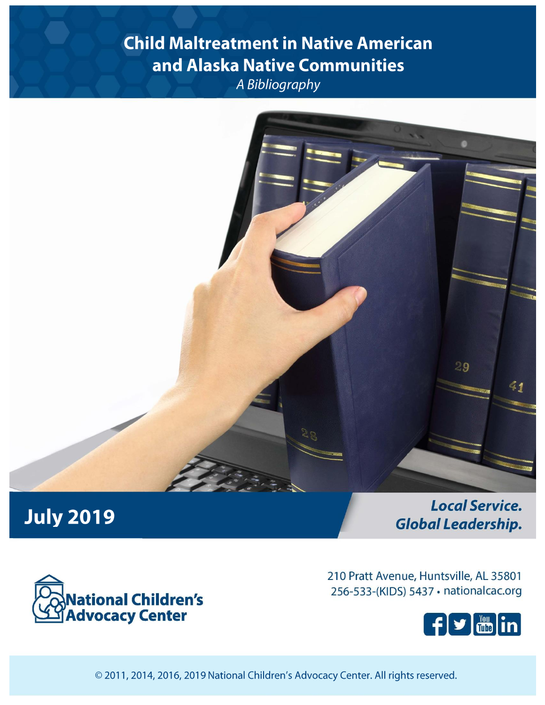# **Child Maltreatment in Native American** and Alaska Native Communities A Bibliography



# **July 2019**

**Local Service. Global Leadership.** 



210 Pratt Avenue, Huntsville, AL 35801 256-533-(KIDS) 5437 · nationalcac.org



© 2011, 2014, 2016, 2019 National Children's Advocacy Center. All rights reserved.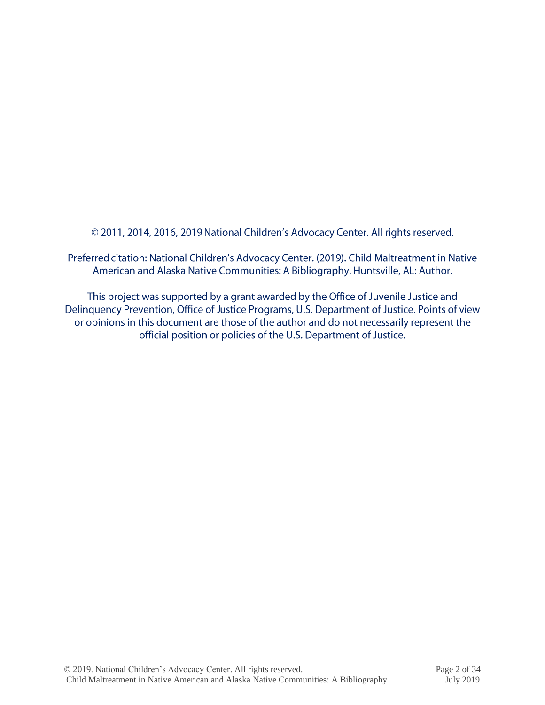© 2011, 2014, 2016, 2019 National Children's Advocacy Center. All rights reserved.

Preferred citation: National Children's Advocacy Center. (2019). Child Maltreatment in Native American and Alaska Native Communities: A Bibliography. Huntsville, AL: Author.

This project was supported by a grant awarded by the Office of Juvenile Justice and Delinquency Prevention, Office of Justice Programs, U.S. Department of Justice. Points of view or opinions in this document are those of the author and do not necessarily represent the official position or policies of the U.S. Department of Justice.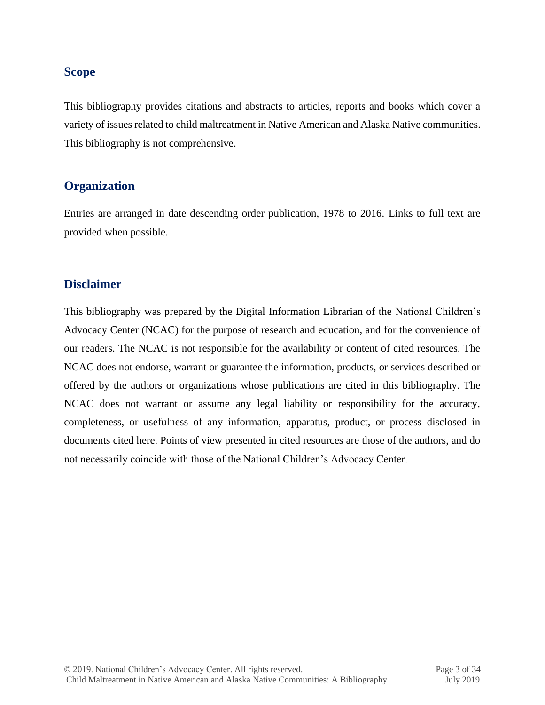# **Scope**

This bibliography provides citations and abstracts to articles, reports and books which cover a variety of issues related to child maltreatment in Native American and Alaska Native communities. This bibliography is not comprehensive.

# **Organization**

Entries are arranged in date descending order publication, 1978 to 2016. Links to full text are provided when possible.

# **Disclaimer**

This bibliography was prepared by the Digital Information Librarian of the National Children's Advocacy Center (NCAC) for the purpose of research and education, and for the convenience of our readers. The NCAC is not responsible for the availability or content of cited resources. The NCAC does not endorse, warrant or guarantee the information, products, or services described or offered by the authors or organizations whose publications are cited in this bibliography. The NCAC does not warrant or assume any legal liability or responsibility for the accuracy, completeness, or usefulness of any information, apparatus, product, or process disclosed in documents cited here. Points of view presented in cited resources are those of the authors, and do not necessarily coincide with those of the National Children's Advocacy Center.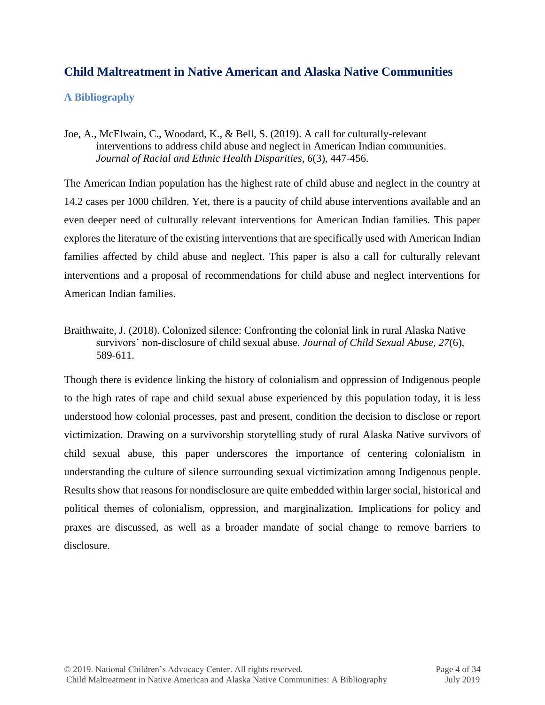# **Child Maltreatment in Native American and Alaska Native Communities**

# **A Bibliography**

Joe, A., McElwain, C., Woodard, K., & Bell, S. (2019). A call for culturally-relevant interventions to address child abuse and neglect in American Indian communities. *Journal of Racial and Ethnic Health Disparities, 6*(3), 447-456.

The American Indian population has the highest rate of child abuse and neglect in the country at 14.2 cases per 1000 children. Yet, there is a paucity of child abuse interventions available and an even deeper need of culturally relevant interventions for American Indian families. This paper explores the literature of the existing interventions that are specifically used with American Indian families affected by child abuse and neglect. This paper is also a call for culturally relevant interventions and a proposal of recommendations for child abuse and neglect interventions for American Indian families.

Braithwaite, J. (2018). Colonized silence: Confronting the colonial link in rural Alaska Native survivors' non-disclosure of child sexual abuse. *Journal of Child Sexual Abuse, 27*(6), 589-611.

Though there is evidence linking the history of colonialism and oppression of Indigenous people to the high rates of rape and child sexual abuse experienced by this population today, it is less understood how colonial processes, past and present, condition the decision to disclose or report victimization. Drawing on a survivorship storytelling study of rural Alaska Native survivors of child sexual abuse, this paper underscores the importance of centering colonialism in understanding the culture of silence surrounding sexual victimization among Indigenous people. Results show that reasons for nondisclosure are quite embedded within larger social, historical and political themes of colonialism, oppression, and marginalization. Implications for policy and praxes are discussed, as well as a broader mandate of social change to remove barriers to disclosure.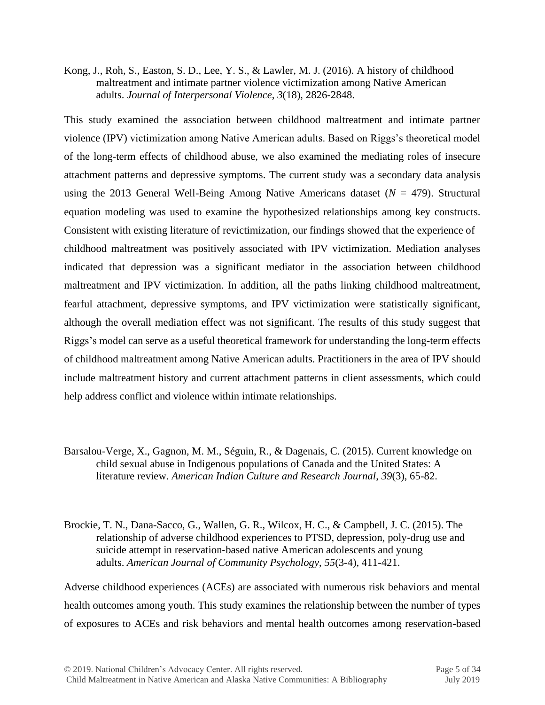Kong, J., Roh, S., Easton, S. D., Lee, Y. S., & Lawler, M. J. (2016). A history of childhood maltreatment and intimate partner violence victimization among Native American adults. *Journal of Interpersonal Violence*, *3*(18), 2826-2848.

This study examined the association between childhood maltreatment and intimate partner violence (IPV) victimization among Native American adults. Based on Riggs's theoretical model of the long-term effects of childhood abuse, we also examined the mediating roles of insecure attachment patterns and depressive symptoms. The current study was a secondary data analysis using the 2013 General Well-Being Among Native Americans dataset  $(N = 479)$ . Structural equation modeling was used to examine the hypothesized relationships among key constructs. Consistent with existing literature of revictimization, our findings showed that the experience of childhood maltreatment was positively associated with IPV victimization. Mediation analyses indicated that depression was a significant mediator in the association between childhood maltreatment and IPV victimization. In addition, all the paths linking childhood maltreatment, fearful attachment, depressive symptoms, and IPV victimization were statistically significant, although the overall mediation effect was not significant. The results of this study suggest that Riggs's model can serve as a useful theoretical framework for understanding the long-term effects of childhood maltreatment among Native American adults. Practitioners in the area of IPV should include maltreatment history and current attachment patterns in client assessments, which could help address conflict and violence within intimate relationships.

- Barsalou-Verge, X., Gagnon, M. M., Séguin, R., & Dagenais, C. (2015). Current knowledge on child sexual abuse in Indigenous populations of Canada and the United States: A literature review. *American Indian Culture and Research Journal*, *39*(3), 65-82.
- Brockie, T. N., Dana-Sacco, G., Wallen, G. R., Wilcox, H. C., & Campbell, J. C. (2015). The relationship of adverse childhood experiences to PTSD, depression, poly‐drug use and suicide attempt in reservation‐based native American adolescents and young adults. *American Journal of Community Psychology*, *55*(3-4), 411-421.

Adverse childhood experiences (ACEs) are associated with numerous risk behaviors and mental health outcomes among youth. This study examines the relationship between the number of types of exposures to ACEs and risk behaviors and mental health outcomes among reservation-based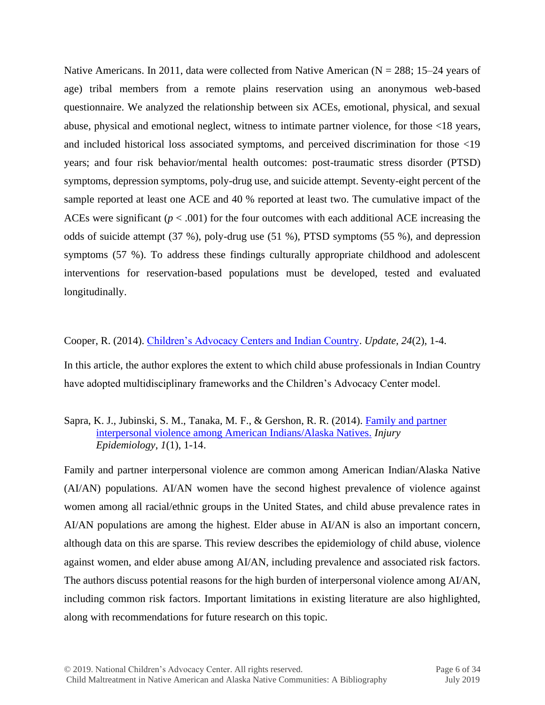Native Americans. In 2011, data were collected from Native American ( $N = 288$ ; 15–24 years of age) tribal members from a remote plains reservation using an anonymous web-based questionnaire. We analyzed the relationship between six ACEs, emotional, physical, and sexual abuse, physical and emotional neglect, witness to intimate partner violence, for those <18 years, and included historical loss associated symptoms, and perceived discrimination for those <19 years; and four risk behavior/mental health outcomes: post-traumatic stress disorder (PTSD) symptoms, depression symptoms, poly-drug use, and suicide attempt. Seventy-eight percent of the sample reported at least one ACE and 40 % reported at least two. The cumulative impact of the ACEs were significant  $(p < .001)$  for the four outcomes with each additional ACE increasing the odds of suicide attempt (37 %), poly-drug use (51 %), PTSD symptoms (55 %), and depression symptoms (57 %). To address these findings culturally appropriate childhood and adolescent interventions for reservation-based populations must be developed, tested and evaluated longitudinally.

Cooper, R. (2014). [Children's Advocacy Centers and Indian Country.](http://www.ndaa.org/pdf/Update%20Vol24_No2.pdf) *Update, 24*(2), 1-4.

In this article, the author explores the extent to which child abuse professionals in Indian Country have adopted multidisciplinary frameworks and the Children's Advocacy Center model.

#### Sapra, K. J., Jubinski, S. M., Tanaka, M. F., & Gershon, R. R. (2014). [Family and partner](http://www.biomedcentral.com/content/pdf/2197-1714-1-7.pdf)  [interpersonal violence among American Indians/Alaska Natives.](http://www.biomedcentral.com/content/pdf/2197-1714-1-7.pdf) *Injury Epidemiology*, *1*(1), 1-14.

Family and partner interpersonal violence are common among American Indian/Alaska Native (AI/AN) populations. AI/AN women have the second highest prevalence of violence against women among all racial/ethnic groups in the United States, and child abuse prevalence rates in AI/AN populations are among the highest. Elder abuse in AI/AN is also an important concern, although data on this are sparse. This review describes the epidemiology of child abuse, violence against women, and elder abuse among AI/AN, including prevalence and associated risk factors. The authors discuss potential reasons for the high burden of interpersonal violence among AI/AN, including common risk factors. Important limitations in existing literature are also highlighted, along with recommendations for future research on this topic.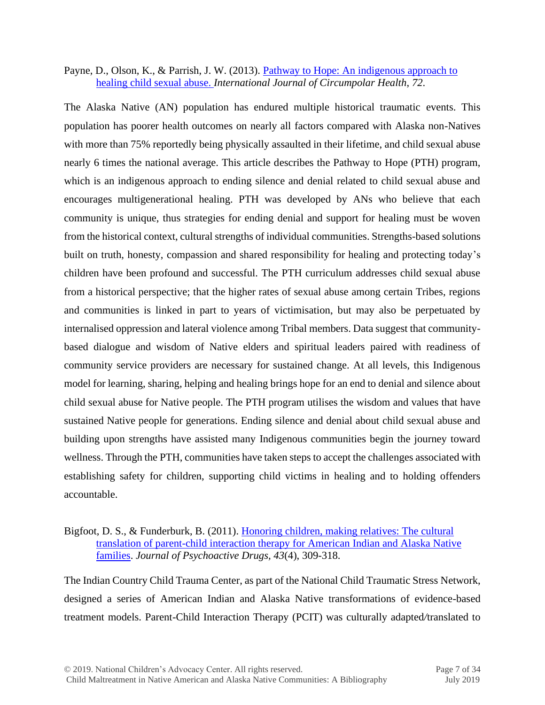#### Payne, D., Olson, K., & Parrish, J. W. (2013). Pathway to Hope: An indigenous approach to [healing child sexual abuse.](http://www.circumpolarhealthjournal.net/index.php/ijch/article/view/21067/html) *International Journal of Circumpolar Health*, *72*.

The Alaska Native (AN) population has endured multiple historical traumatic events. This population has poorer health outcomes on nearly all factors compared with Alaska non-Natives with more than 75% reportedly being physically assaulted in their lifetime, and child sexual abuse nearly 6 times the national average. This article describes the Pathway to Hope (PTH) program, which is an indigenous approach to ending silence and denial related to child sexual abuse and encourages multigenerational healing. PTH was developed by ANs who believe that each community is unique, thus strategies for ending denial and support for healing must be woven from the historical context, cultural strengths of individual communities. Strengths-based solutions built on truth, honesty, compassion and shared responsibility for healing and protecting today's children have been profound and successful. The PTH curriculum addresses child sexual abuse from a historical perspective; that the higher rates of sexual abuse among certain Tribes, regions and communities is linked in part to years of victimisation, but may also be perpetuated by internalised oppression and lateral violence among Tribal members. Data suggest that communitybased dialogue and wisdom of Native elders and spiritual leaders paired with readiness of community service providers are necessary for sustained change. At all levels, this Indigenous model for learning, sharing, helping and healing brings hope for an end to denial and silence about child sexual abuse for Native people. The PTH program utilises the wisdom and values that have sustained Native people for generations. Ending silence and denial about child sexual abuse and building upon strengths have assisted many Indigenous communities begin the journey toward wellness. Through the PTH, communities have taken steps to accept the challenges associated with establishing safety for children, supporting child victims in healing and to holding offenders accountable.

#### Bigfoot, D. S., & Funderburk, B. (2011). Honoring children, making relatives: The cultural [translation of parent-child interaction therapy for American Indian and Alaska Native](http://www.tandfonline.com/doi/pdf/10.1080/02791072.2011.628924)  [families.](http://www.tandfonline.com/doi/pdf/10.1080/02791072.2011.628924) *Journal of Psychoactive Drugs, 43*(4), 309-318.

The Indian Country Child Trauma Center, as part of the National Child Traumatic Stress Network, designed a series of American Indian and Alaska Native transformations of evidence-based treatment models. Parent-Child Interaction Therapy (PCIT) was culturally adapted*/*translated to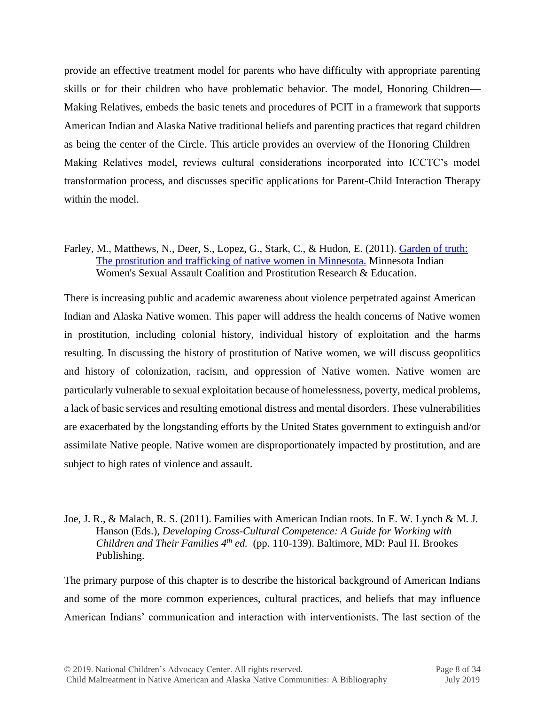provide an effective treatment model for parents who have difficulty with appropriate parenting skills or for their children who have problematic behavior. The model, Honoring Children— Making Relatives, embeds the basic tenets and procedures of PCIT in a framework that supports American Indian and Alaska Native traditional beliefs and parenting practices that regard children as being the center of the Circle. This article provides an overview of the Honoring Children— Making Relatives model, reviews cultural considerations incorporated into ICCTC's model transformation process, and discusses specific applications for Parent-Child Interaction Therapy within the model.

#### Farley, M., Matthews, N., Deer, S., Lopez, G., Stark, C., & Hudon, E. (2011). [Garden of truth:](http://www.prostitutionresearch.com/pdfs/Garden_of_Truth_Final_Project_WEB.pdf)  [The prostitution and trafficking of native women in Minnesota.](http://www.prostitutionresearch.com/pdfs/Garden_of_Truth_Final_Project_WEB.pdf) Minnesota Indian Women's Sexual Assault Coalition and Prostitution Research & Education.

There is increasing public and academic awareness about violence perpetrated against American Indian and Alaska Native women. This paper will address the health concerns of Native women in prostitution, including colonial history, individual history of exploitation and the harms resulting. In discussing the history of prostitution of Native women, we will discuss geopolitics and history of colonization, racism, and oppression of Native women. Native women are particularly vulnerable to sexual exploitation because of homelessness, poverty, medical problems, a lack of basic services and resulting emotional distress and mental disorders. These vulnerabilities are exacerbated by the longstanding efforts by the United States government to extinguish and/or assimilate Native people. Native women are disproportionately impacted by prostitution, and are subject to high rates of violence and assault.

#### Joe, J. R., & Malach, R. S. (2011). Families with American Indian roots. In E. W. Lynch & M. J. Hanson (Eds.), *Developing Cross-Cultural Competence: A Guide for Working with Children and Their Families 4th ed.* (pp. 110-139). Baltimore, MD: Paul H. Brookes Publishing.

The primary purpose of this chapter is to describe the historical background of American Indians and some of the more common experiences, cultural practices, and beliefs that may influence American Indians' communication and interaction with interventionists. The last section of the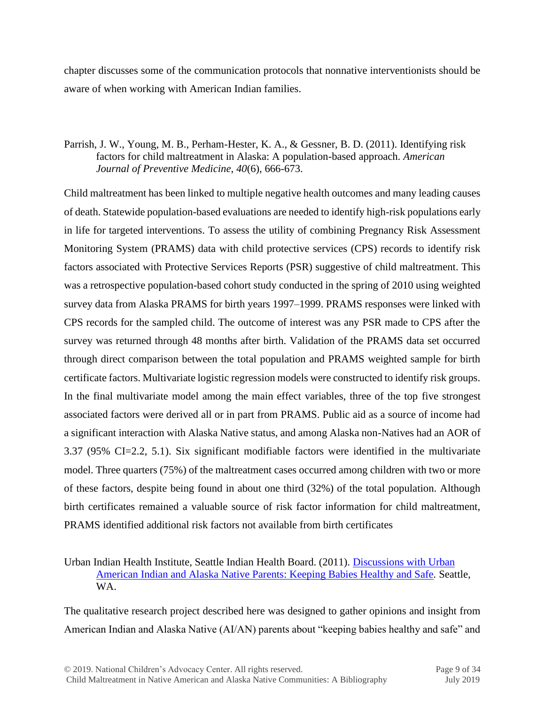chapter discusses some of the communication protocols that nonnative interventionists should be aware of when working with American Indian families.

# Parrish, J. W., Young, M. B., Perham-Hester, K. A., & Gessner, B. D. (2011). Identifying risk factors for child maltreatment in Alaska: A population-based approach. *American Journal of Preventive Medicine*, *40*(6), 666-673.

Child maltreatment has been linked to multiple negative health outcomes and many leading causes of death. Statewide population-based evaluations are needed to identify high-risk populations early in life for targeted interventions. To assess the utility of combining Pregnancy Risk Assessment Monitoring System (PRAMS) data with child protective services (CPS) records to identify risk factors associated with Protective Services Reports (PSR) suggestive of child maltreatment. This was a retrospective population-based cohort study conducted in the spring of 2010 using weighted survey data from Alaska PRAMS for birth years 1997–1999. PRAMS responses were linked with CPS records for the sampled child. The outcome of interest was any PSR made to CPS after the survey was returned through 48 months after birth. Validation of the PRAMS data set occurred through direct comparison between the total population and PRAMS weighted sample for birth certificate factors. Multivariate logistic regression models were constructed to identify risk groups. In the final multivariate model among the main effect variables, three of the top five strongest associated factors were derived all or in part from PRAMS. Public aid as a source of income had a significant interaction with Alaska Native status, and among Alaska non-Natives had an AOR of 3.37 (95% CI=2.2, 5.1). Six significant modifiable factors were identified in the multivariate model. Three quarters (75%) of the maltreatment cases occurred among children with two or more of these factors, despite being found in about one third (32%) of the total population. Although birth certificates remained a valuable source of risk factor information for child maltreatment, PRAMS identified additional risk factors not available from birth certificates

Urban Indian Health Institute, Seattle Indian Health Board. (2011). [Discussions with Urban](http://www.uihi.org/wp-content/uploads/2011/05/Discussions-with%20Urban-American-Indian-and-Alaska-Native-Parents.pdf)  [American Indian and Alaska Native Parents: Keeping Babies Healthy and Safe](http://www.uihi.org/wp-content/uploads/2011/05/Discussions-with%20Urban-American-Indian-and-Alaska-Native-Parents.pdf)*.* Seattle, WA.

The qualitative research project described here was designed to gather opinions and insight from American Indian and Alaska Native (AI/AN) parents about "keeping babies healthy and safe" and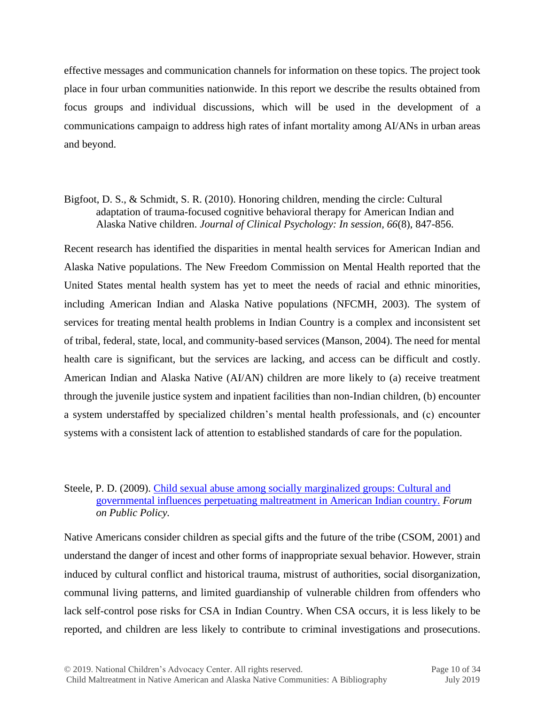effective messages and communication channels for information on these topics. The project took place in four urban communities nationwide. In this report we describe the results obtained from focus groups and individual discussions, which will be used in the development of a communications campaign to address high rates of infant mortality among AI/ANs in urban areas and beyond.

# Bigfoot, D. S., & Schmidt, S. R. (2010). Honoring children, mending the circle: Cultural adaptation of trauma-focused cognitive behavioral therapy for American Indian and Alaska Native children. *Journal of Clinical Psychology: In session, 66*(8), 847-856.

Recent research has identified the disparities in mental health services for American Indian and Alaska Native populations. The New Freedom Commission on Mental Health reported that the United States mental health system has yet to meet the needs of racial and ethnic minorities, including American Indian and Alaska Native populations (NFCMH, 2003). The system of services for treating mental health problems in Indian Country is a complex and inconsistent set of tribal, federal, state, local, and community-based services (Manson, 2004). The need for mental health care is significant, but the services are lacking, and access can be difficult and costly. American Indian and Alaska Native (AI/AN) children are more likely to (a) receive treatment through the juvenile justice system and inpatient facilities than non-Indian children, (b) encounter a system understaffed by specialized children's mental health professionals, and (c) encounter systems with a consistent lack of attention to established standards of care for the population.

# Steele, P. D. (2009). [Child sexual abuse among socially marginalized groups: Cultural and](http://forumonpublicpolicy.com/spring09papers/archivespr09/steele.pdf)  [governmental influences perpetuating maltreatment in American Indian country.](http://forumonpublicpolicy.com/spring09papers/archivespr09/steele.pdf) *Forum on Public Policy.*

Native Americans consider children as special gifts and the future of the tribe (CSOM, 2001) and understand the danger of incest and other forms of inappropriate sexual behavior. However, strain induced by cultural conflict and historical trauma, mistrust of authorities, social disorganization, communal living patterns, and limited guardianship of vulnerable children from offenders who lack self-control pose risks for CSA in Indian Country. When CSA occurs, it is less likely to be reported, and children are less likely to contribute to criminal investigations and prosecutions.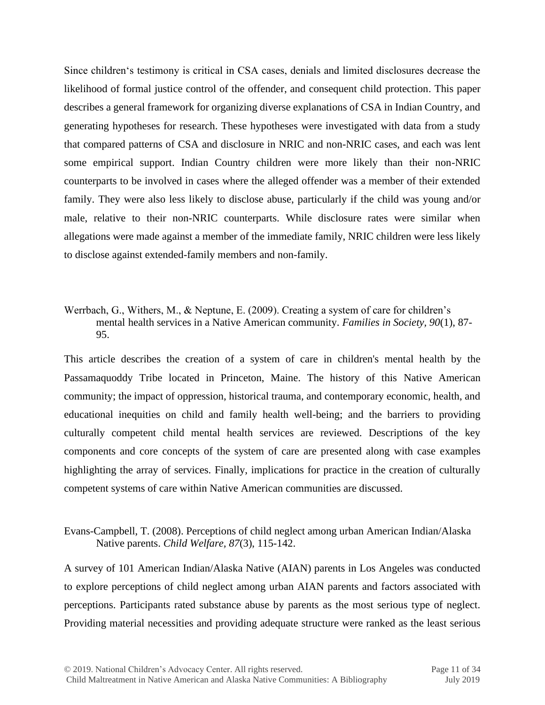Since children's testimony is critical in CSA cases, denials and limited disclosures decrease the likelihood of formal justice control of the offender, and consequent child protection. This paper describes a general framework for organizing diverse explanations of CSA in Indian Country, and generating hypotheses for research. These hypotheses were investigated with data from a study that compared patterns of CSA and disclosure in NRIC and non-NRIC cases, and each was lent some empirical support. Indian Country children were more likely than their non-NRIC counterparts to be involved in cases where the alleged offender was a member of their extended family. They were also less likely to disclose abuse, particularly if the child was young and/or male, relative to their non-NRIC counterparts. While disclosure rates were similar when allegations were made against a member of the immediate family, NRIC children were less likely to disclose against extended-family members and non-family.

#### Werrbach, G., Withers, M., & Neptune, E. (2009). Creating a system of care for children's mental health services in a Native American community. *Families in Society, 90*(1), 87- 95.

This article describes the creation of a system of care in children's mental health by the Passamaquoddy Tribe located in Princeton, Maine. The history of this Native American community; the impact of oppression, historical trauma, and contemporary economic, health, and educational inequities on child and family health well-being; and the barriers to providing culturally competent child mental health services are reviewed. Descriptions of the key components and core concepts of the system of care are presented along with case examples highlighting the array of services. Finally, implications for practice in the creation of culturally competent systems of care within Native American communities are discussed.

Evans-Campbell, T. (2008). Perceptions of child neglect among urban American Indian/Alaska Native parents. *Child Welfare, 87*(3), 115-142.

A survey of 101 American Indian/Alaska Native (AIAN) parents in Los Angeles was conducted to explore perceptions of child neglect among urban AIAN parents and factors associated with perceptions. Participants rated substance abuse by parents as the most serious type of neglect. Providing material necessities and providing adequate structure were ranked as the least serious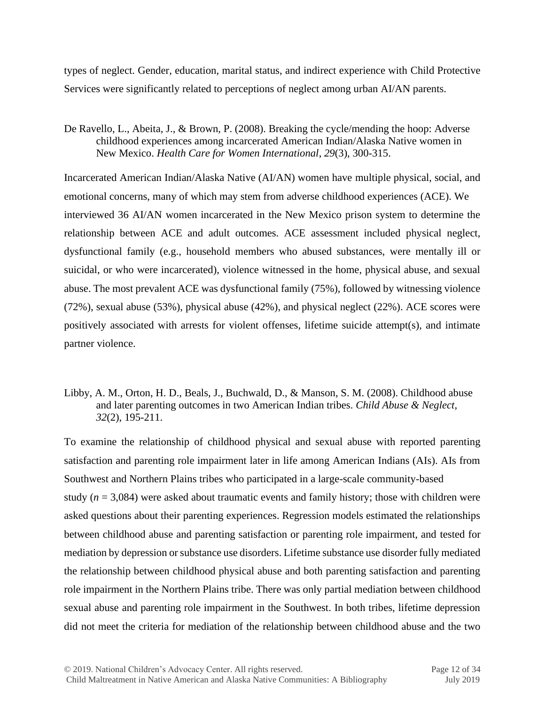types of neglect. Gender, education, marital status, and indirect experience with Child Protective Services were significantly related to perceptions of neglect among urban AI/AN parents.

De Ravello, L., Abeita, J., & Brown, P. (2008). Breaking the cycle/mending the hoop: Adverse childhood experiences among incarcerated American Indian/Alaska Native women in New Mexico. *Health Care for Women International*, *29*(3), 300-315.

Incarcerated American Indian/Alaska Native (AI/AN) women have multiple physical, social, and emotional concerns, many of which may stem from adverse childhood experiences (ACE). We interviewed 36 AI/AN women incarcerated in the New Mexico prison system to determine the relationship between ACE and adult outcomes. ACE assessment included physical neglect, dysfunctional family (e.g., household members who abused substances, were mentally ill or suicidal, or who were incarcerated), violence witnessed in the home, physical abuse, and sexual abuse. The most prevalent ACE was dysfunctional family (75%), followed by witnessing violence (72%), sexual abuse (53%), physical abuse (42%), and physical neglect (22%). ACE scores were positively associated with arrests for violent offenses, lifetime suicide attempt(s), and intimate partner violence.

Libby, A. M., Orton, H. D., Beals, J., Buchwald, D., & Manson, S. M. (2008). Childhood abuse and later parenting outcomes in two American Indian tribes. *Child Abuse & Neglect, 32*(2), 195-211.

To examine the relationship of childhood physical and sexual abuse with reported parenting satisfaction and parenting role impairment later in life among American Indians (AIs). AIs from Southwest and Northern Plains tribes who participated in a large-scale community-based study ( $n = 3,084$ ) were asked about traumatic events and family history; those with children were asked questions about their parenting experiences. Regression models estimated the relationships between childhood abuse and parenting satisfaction or parenting role impairment, and tested for mediation by depression or substance use disorders. Lifetime substance use disorder fully mediated the relationship between childhood physical abuse and both parenting satisfaction and parenting role impairment in the Northern Plains tribe. There was only partial mediation between childhood sexual abuse and parenting role impairment in the Southwest. In both tribes, lifetime depression did not meet the criteria for mediation of the relationship between childhood abuse and the two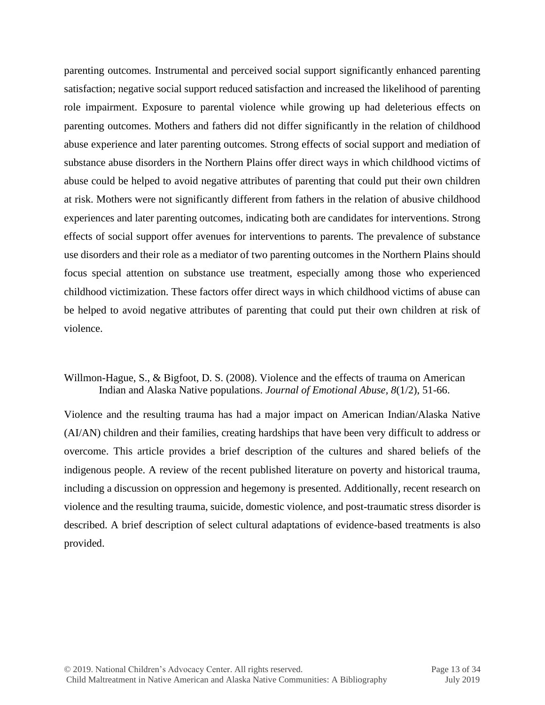parenting outcomes. Instrumental and perceived social support significantly enhanced parenting satisfaction; negative social support reduced satisfaction and increased the likelihood of parenting role impairment. Exposure to parental violence while growing up had deleterious effects on parenting outcomes. Mothers and fathers did not differ significantly in the relation of childhood abuse experience and later parenting outcomes. Strong effects of social support and mediation of substance abuse disorders in the Northern Plains offer direct ways in which childhood victims of abuse could be helped to avoid negative attributes of parenting that could put their own children at risk. Mothers were not significantly different from fathers in the relation of abusive childhood experiences and later parenting outcomes, indicating both are candidates for interventions. Strong effects of social support offer avenues for interventions to parents. The prevalence of substance use disorders and their role as a mediator of two parenting outcomes in the Northern Plains should focus special attention on substance use treatment, especially among those who experienced childhood victimization. These factors offer direct ways in which childhood victims of abuse can be helped to avoid negative attributes of parenting that could put their own children at risk of violence.

#### Willmon-Hague, S., & Bigfoot, D. S. (2008). Violence and the effects of trauma on American Indian and Alaska Native populations. *Journal of Emotional Abuse, 8*(1/2), 51-66.

Violence and the resulting trauma has had a major impact on American Indian/Alaska Native (AI/AN) children and their families, creating hardships that have been very difficult to address or overcome. This article provides a brief description of the cultures and shared beliefs of the indigenous people. A review of the recent published literature on poverty and historical trauma, including a discussion on oppression and hegemony is presented. Additionally, recent research on violence and the resulting trauma, suicide, domestic violence, and post-traumatic stress disorder is described. A brief description of select cultural adaptations of evidence-based treatments is also provided.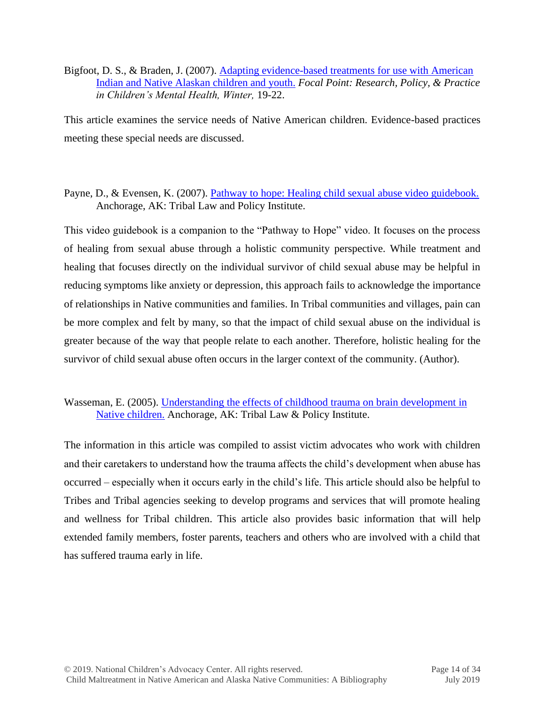Bigfoot, D. S., & Braden, J. (2007). Adapting evidence-based treatments for use with American [Indian and Native Alaskan children and youth.](http://www.icctc.org/focus%20article.pdf) *Focal Point: Research, Policy, & Practice in Children's Mental Health, Winter,* 19-22.

This article examines the service needs of Native American children. Evidence-based practices meeting these special needs are discussed.

# Payne, D., & Evensen, K. (2007). [Pathway to hope: Healing child sexual abuse video guidebook.](http://www.tribal-institute.org/download/PathwaysGuide.pdf) Anchorage, AK: Tribal Law and Policy Institute.

This video guidebook is a companion to the "Pathway to Hope" video. It focuses on the process of healing from sexual abuse through a holistic community perspective. While treatment and healing that focuses directly on the individual survivor of child sexual abuse may be helpful in reducing symptoms like anxiety or depression, this approach fails to acknowledge the importance of relationships in Native communities and families. In Tribal communities and villages, pain can be more complex and felt by many, so that the impact of child sexual abuse on the individual is greater because of the way that people relate to each another. Therefore, holistic healing for the survivor of child sexual abuse often occurs in the larger context of the community. (Author).

# Wasseman, E. (2005). [Understanding the effects of childhood trauma on brain development in](http://www.tribal-institute.org/lists/child.htm)  [Native children.](http://www.tribal-institute.org/lists/child.htm) Anchorage, AK: Tribal Law & Policy Institute.

The information in this article was compiled to assist victim advocates who work with children and their caretakers to understand how the trauma affects the child's development when abuse has occurred – especially when it occurs early in the child's life. This article should also be helpful to Tribes and Tribal agencies seeking to develop programs and services that will promote healing and wellness for Tribal children. This article also provides basic information that will help extended family members, foster parents, teachers and others who are involved with a child that has suffered trauma early in life.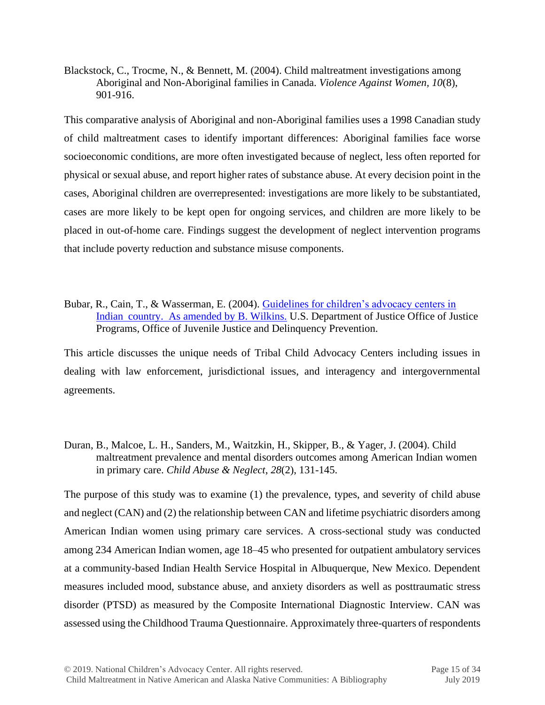Blackstock, C., Trocme, N., & Bennett, M. (2004). Child maltreatment investigations among Aboriginal and Non-Aboriginal families in Canada. *Violence Against Women, 10*(8), 901-916.

This comparative analysis of Aboriginal and non-Aboriginal families uses a 1998 Canadian study of child maltreatment cases to identify important differences: Aboriginal families face worse socioeconomic conditions, are more often investigated because of neglect, less often reported for physical or sexual abuse, and report higher rates of substance abuse. At every decision point in the cases, Aboriginal children are overrepresented: investigations are more likely to be substantiated, cases are more likely to be kept open for ongoing services, and children are more likely to be placed in out-of-home care. Findings suggest the development of neglect intervention programs that include poverty reduction and substance misuse components.

Bubar, R., Cain, T., & Wasserman, E. (2004). [Guidelines for children's advocacy centers in](http://www.nativechildalliance.org/images/CAC%20Manual.pdf)  [Indian country. As amended by B. Wilkins.](http://www.nativechildalliance.org/images/CAC%20Manual.pdf) U.S. Department of Justice Office of Justice Programs, Office of Juvenile Justice and Delinquency Prevention.

This article discusses the unique needs of Tribal Child Advocacy Centers including issues in dealing with law enforcement, jurisdictional issues, and interagency and intergovernmental agreements.

Duran, B., Malcoe, L. H., Sanders, M., Waitzkin, H., Skipper, B., & Yager, J. (2004). Child maltreatment prevalence and mental disorders outcomes among American Indian women in primary care. *Child Abuse & Neglect*, *28*(2), 131-145.

The purpose of this study was to examine (1) the prevalence, types, and severity of child abuse and neglect (CAN) and (2) the relationship between CAN and lifetime psychiatric disorders among American Indian women using primary care services. A cross-sectional study was conducted among 234 American Indian women, age 18–45 who presented for outpatient ambulatory services at a community-based Indian Health Service Hospital in Albuquerque, New Mexico. Dependent measures included mood, substance abuse, and anxiety disorders as well as posttraumatic stress disorder (PTSD) as measured by the Composite International Diagnostic Interview. CAN was assessed using the Childhood Trauma Questionnaire. Approximately three-quarters of respondents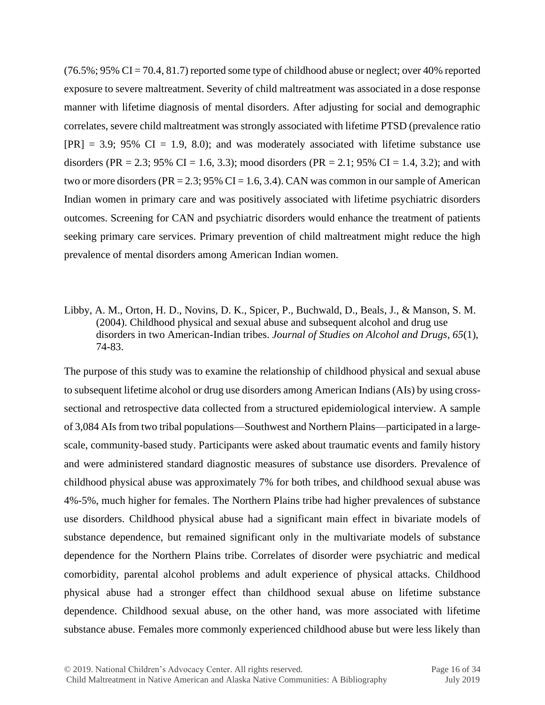$(76.5\%; 95\% \text{ CI} = 70.4, 81.7)$  reported some type of childhood abuse or neglect; over 40% reported exposure to severe maltreatment. Severity of child maltreatment was associated in a dose response manner with lifetime diagnosis of mental disorders. After adjusting for social and demographic correlates, severe child maltreatment was strongly associated with lifetime PTSD (prevalence ratio  $[PR] = 3.9$ ; 95% CI = 1.9, 8.0); and was moderately associated with lifetime substance use disorders (PR = 2.3; 95% CI = 1.6, 3.3); mood disorders (PR = 2.1; 95% CI = 1.4, 3.2); and with two or more disorders ( $PR = 2.3$ ; 95% CI = 1.6, 3.4). CAN was common in our sample of American Indian women in primary care and was positively associated with lifetime psychiatric disorders outcomes. Screening for CAN and psychiatric disorders would enhance the treatment of patients seeking primary care services. Primary prevention of child maltreatment might reduce the high prevalence of mental disorders among American Indian women.

Libby, A. M., Orton, H. D., Novins, D. K., Spicer, P., Buchwald, D., Beals, J., & Manson, S. M. (2004). Childhood physical and sexual abuse and subsequent alcohol and drug use disorders in two American-Indian tribes. *Journal of Studies on Alcohol and Drugs, 65*(1), 74-83.

The purpose of this study was to examine the relationship of childhood physical and sexual abuse to subsequent lifetime alcohol or drug use disorders among American Indians (AIs) by using crosssectional and retrospective data collected from a structured epidemiological interview. A sample of 3,084 AIs from two tribal populations—Southwest and Northern Plains—participated in a largescale, community-based study. Participants were asked about traumatic events and family history and were administered standard diagnostic measures of substance use disorders. Prevalence of childhood physical abuse was approximately 7% for both tribes, and childhood sexual abuse was 4%-5%, much higher for females. The Northern Plains tribe had higher prevalences of substance use disorders. Childhood physical abuse had a significant main effect in bivariate models of substance dependence, but remained significant only in the multivariate models of substance dependence for the Northern Plains tribe. Correlates of disorder were psychiatric and medical comorbidity, parental alcohol problems and adult experience of physical attacks. Childhood physical abuse had a stronger effect than childhood sexual abuse on lifetime substance dependence. Childhood sexual abuse, on the other hand, was more associated with lifetime substance abuse. Females more commonly experienced childhood abuse but were less likely than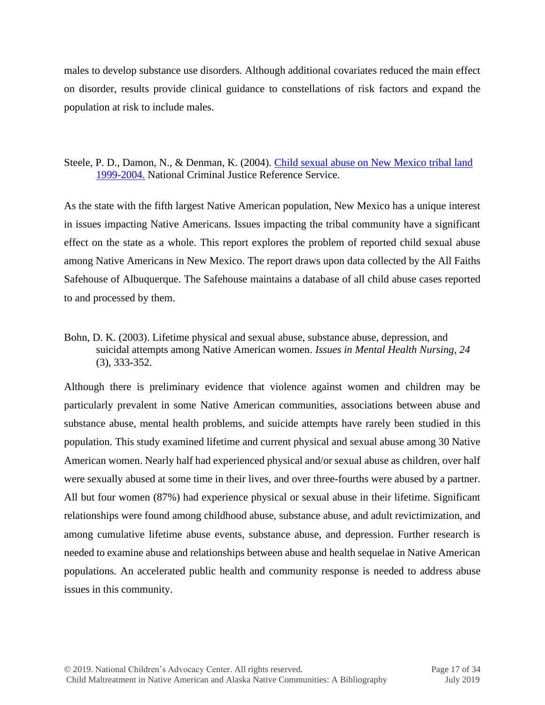males to develop substance use disorders. Although additional covariates reduced the main effect on disorder, results provide clinical guidance to constellations of risk factors and expand the population at risk to include males.

# Steele, P. D., Damon, N., & Denman, K. (2004). [Child sexual abuse on New Mexico tribal](https://www.ncjrs.gov/pdffiles1/bjs/grants/212236.pdf) land [1999-2004.](https://www.ncjrs.gov/pdffiles1/bjs/grants/212236.pdf) National Criminal Justice Reference Service.

As the state with the fifth largest Native American population, New Mexico has a unique interest in issues impacting Native Americans. Issues impacting the tribal community have a significant effect on the state as a whole. This report explores the problem of reported child sexual abuse among Native Americans in New Mexico. The report draws upon data collected by the All Faiths Safehouse of Albuquerque. The Safehouse maintains a database of all child abuse cases reported to and processed by them.

Bohn, D. K. (2003). Lifetime physical and sexual abuse, substance abuse, depression, and suicidal attempts among Native American women. *Issues in Mental Health Nursing, 24* (3), 333-352.

Although there is preliminary evidence that violence against women and children may be particularly prevalent in some Native American communities, associations between abuse and substance abuse, mental health problems, and suicide attempts have rarely been studied in this population. This study examined lifetime and current physical and sexual abuse among 30 Native American women. Nearly half had experienced physical and/or sexual abuse as children, over half were sexually abused at some time in their lives, and over three-fourths were abused by a partner. All but four women (87%) had experience physical or sexual abuse in their lifetime. Significant relationships were found among childhood abuse, substance abuse, and adult revictimization, and among cumulative lifetime abuse events, substance abuse, and depression. Further research is needed to examine abuse and relationships between abuse and health sequelae in Native American populations. An accelerated public health and community response is needed to address abuse issues in this community.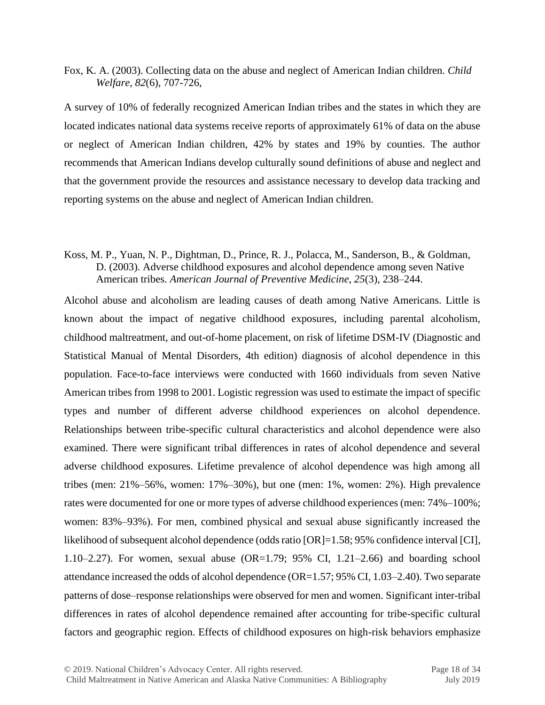Fox, K. A. (2003). Collecting data on the abuse and neglect of American Indian children. *Child Welfare, 82*(6), 707-726,

A survey of 10% of federally recognized American Indian tribes and the states in which they are located indicates national data systems receive reports of approximately 61% of data on the abuse or neglect of American Indian children, 42% by states and 19% by counties. The author recommends that American Indians develop culturally sound definitions of abuse and neglect and that the government provide the resources and assistance necessary to develop data tracking and reporting systems on the abuse and neglect of American Indian children.

# Koss, M. P., Yuan, N. P., Dightman, D., Prince, R. J., Polacca, M., Sanderson, B., & Goldman, D. (2003). Adverse childhood exposures and alcohol dependence among seven Native American tribes. *American Journal of Preventive Medicine, 25*(3), 238–244.

Alcohol abuse and alcoholism are leading causes of death among Native Americans. Little is known about the impact of negative childhood exposures, including parental alcoholism, childhood maltreatment, and out-of-home placement, on risk of lifetime DSM-IV (Diagnostic and Statistical Manual of Mental Disorders, 4th edition) diagnosis of alcohol dependence in this population. Face-to-face interviews were conducted with 1660 individuals from seven Native American tribes from 1998 to 2001. Logistic regression was used to estimate the impact of specific types and number of different adverse childhood experiences on alcohol dependence. Relationships between tribe-specific cultural characteristics and alcohol dependence were also examined. There were significant tribal differences in rates of alcohol dependence and several adverse childhood exposures. Lifetime prevalence of alcohol dependence was high among all tribes (men: 21%–56%, women: 17%–30%), but one (men: 1%, women: 2%). High prevalence rates were documented for one or more types of adverse childhood experiences (men: 74%–100%; women: 83%–93%). For men, combined physical and sexual abuse significantly increased the likelihood of subsequent alcohol dependence (odds ratio [OR]=1.58; 95% confidence interval [CI], 1.10–2.27). For women, sexual abuse (OR=1.79; 95% CI, 1.21–2.66) and boarding school attendance increased the odds of alcohol dependence (OR=1.57; 95% CI, 1.03–2.40). Two separate patterns of dose–response relationships were observed for men and women. Significant inter-tribal differences in rates of alcohol dependence remained after accounting for tribe-specific cultural factors and geographic region. Effects of childhood exposures on high-risk behaviors emphasize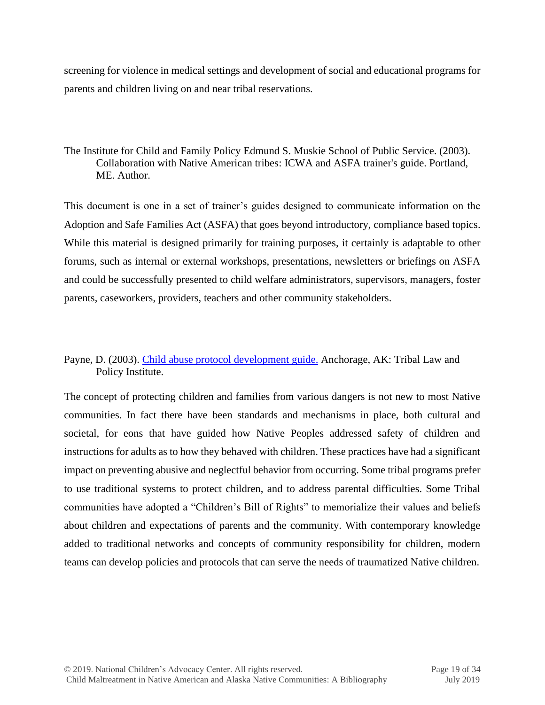screening for violence in medical settings and development of social and educational programs for parents and children living on and near tribal reservations.

# The Institute for Child and Family Policy Edmund S. Muskie School of Public Service. (2003). Collaboration with Native American tribes: ICWA and ASFA trainer's guide. Portland, ME. Author.

This document is one in a set of trainer's guides designed to communicate information on the Adoption and Safe Families Act (ASFA) that goes beyond introductory, compliance based topics. While this material is designed primarily for training purposes, it certainly is adaptable to other forums, such as internal or external workshops, presentations, newsletters or briefings on ASFA and could be successfully presented to child welfare administrators, supervisors, managers, foster parents, caseworkers, providers, teachers and other community stakeholders.

# Payne, D. (2003). [Child abuse protocol development guide.](http://www.tribal-institute.org/download/Completed%20Protocol%20Guide%202003.pdf) Anchorage, AK: Tribal Law and Policy Institute.

The concept of protecting children and families from various dangers is not new to most Native communities. In fact there have been standards and mechanisms in place, both cultural and societal, for eons that have guided how Native Peoples addressed safety of children and instructions for adults as to how they behaved with children. These practices have had a significant impact on preventing abusive and neglectful behavior from occurring. Some tribal programs prefer to use traditional systems to protect children, and to address parental difficulties. Some Tribal communities have adopted a "Children's Bill of Rights" to memorialize their values and beliefs about children and expectations of parents and the community. With contemporary knowledge added to traditional networks and concepts of community responsibility for children, modern teams can develop policies and protocols that can serve the needs of traumatized Native children.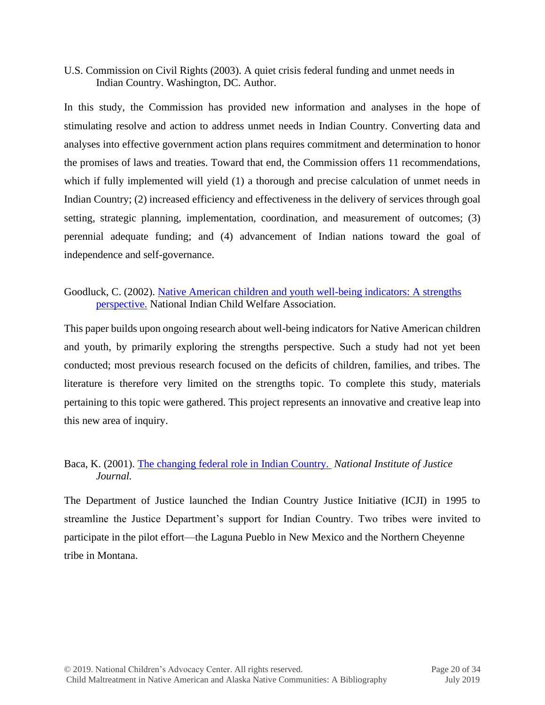U.S. Commission on Civil Rights (2003). A quiet crisis federal funding and unmet needs in Indian Country. Washington, DC. Author.

In this study, the Commission has provided new information and analyses in the hope of stimulating resolve and action to address unmet needs in Indian Country. Converting data and analyses into effective government action plans requires commitment and determination to honor the promises of laws and treaties. Toward that end, the Commission offers 11 recommendations, which if fully implemented will yield (1) a thorough and precise calculation of unmet needs in Indian Country; (2) increased efficiency and effectiveness in the delivery of services through goal setting, strategic planning, implementation, coordination, and measurement of outcomes; (3) perennial adequate funding; and (4) advancement of Indian nations toward the goal of independence and self-governance.

# Goodluck, C. (2002). [Native American children and youth well-being indicators: A strengths](http://oilspilldistress.samhsa.gov/resources/native-american-children-and-youth-well-being-indicators-strengths-perspective)  [perspective.](http://oilspilldistress.samhsa.gov/resources/native-american-children-and-youth-well-being-indicators-strengths-perspective) National Indian Child Welfare Association.

This paper builds upon ongoing research about well-being indicators for Native American children and youth, by primarily exploring the strengths perspective. Such a study had not yet been conducted; most previous research focused on the deficits of children, families, and tribes. The literature is therefore very limited on the strengths topic. To complete this study, materials pertaining to this topic were gathered. This project represents an innovative and creative leap into this new area of inquiry.

# Baca, K. (2001). [The changing federal role in Indian Country.](http://www.ncjrs.gov/pdffiles1/jr000247c.pdf) *National Institute of Justice Journal.*

The Department of Justice launched the Indian Country Justice Initiative (ICJI) in 1995 to streamline the Justice Department's support for Indian Country. Two tribes were invited to participate in the pilot effort—the Laguna Pueblo in New Mexico and the Northern Cheyenne tribe in Montana.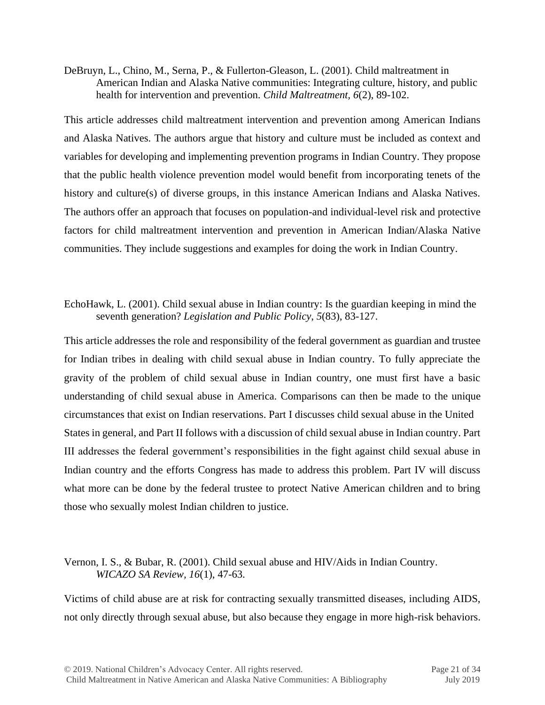DeBruyn, L., Chino, M., Serna, P., & Fullerton-Gleason, L. (2001). Child maltreatment in American Indian and Alaska Native communities: Integrating culture, history, and public health for intervention and prevention. *Child Maltreatment, 6*(2), 89-102.

This article addresses child maltreatment intervention and prevention among American Indians and Alaska Natives. The authors argue that history and culture must be included as context and variables for developing and implementing prevention programs in Indian Country. They propose that the public health violence prevention model would benefit from incorporating tenets of the history and culture(s) of diverse groups, in this instance American Indians and Alaska Natives. The authors offer an approach that focuses on population-and individual-level risk and protective factors for child maltreatment intervention and prevention in American Indian/Alaska Native communities. They include suggestions and examples for doing the work in Indian Country.

# EchoHawk, L. (2001). Child sexual abuse in Indian country: Is the guardian keeping in mind the seventh generation? *Legislation and Public Policy*, *5*(83), 83-127.

This article addresses the role and responsibility of the federal government as guardian and trustee for Indian tribes in dealing with child sexual abuse in Indian country. To fully appreciate the gravity of the problem of child sexual abuse in Indian country, one must first have a basic understanding of child sexual abuse in America. Comparisons can then be made to the unique circumstances that exist on Indian reservations. Part I discusses child sexual abuse in the United States in general, and Part II follows with a discussion of child sexual abuse in Indian country. Part III addresses the federal government's responsibilities in the fight against child sexual abuse in Indian country and the efforts Congress has made to address this problem. Part IV will discuss what more can be done by the federal trustee to protect Native American children and to bring those who sexually molest Indian children to justice.

# Vernon, I. S., & Bubar, R. (2001). Child sexual abuse and HIV/Aids in Indian Country. *WICAZO SA Review, 16*(1), 47-63.

Victims of child abuse are at risk for contracting sexually transmitted diseases, including AIDS, not only directly through sexual abuse, but also because they engage in more high-risk behaviors.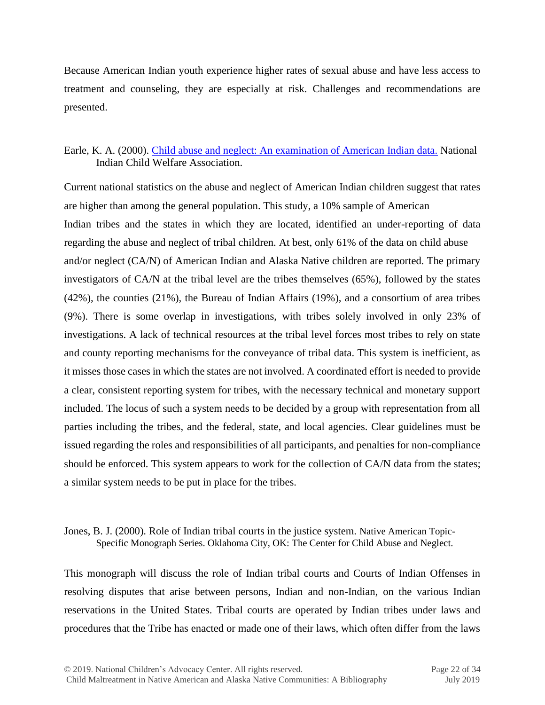Because American Indian youth experience higher rates of sexual abuse and have less access to treatment and counseling, they are especially at risk. Challenges and recommendations are presented.

# Earle, K. A. (2000). [Child abuse and neglect: An examination of American Indian data.](http://tatis.muskie.usm.maine.edu/pubs/pubdetailWtemp.asp?PUB_ID=B060040) National Indian Child Welfare Association.

Current national statistics on the abuse and neglect of American Indian children suggest that rates are higher than among the general population. This study, a 10% sample of American Indian tribes and the states in which they are located, identified an under-reporting of data regarding the abuse and neglect of tribal children. At best, only 61% of the data on child abuse and/or neglect (CA/N) of American Indian and Alaska Native children are reported. The primary investigators of CA/N at the tribal level are the tribes themselves (65%), followed by the states (42%), the counties (21%), the Bureau of Indian Affairs (19%), and a consortium of area tribes (9%). There is some overlap in investigations, with tribes solely involved in only 23% of investigations. A lack of technical resources at the tribal level forces most tribes to rely on state and county reporting mechanisms for the conveyance of tribal data. This system is inefficient, as it misses those cases in which the states are not involved. A coordinated effort is needed to provide a clear, consistent reporting system for tribes, with the necessary technical and monetary support included. The locus of such a system needs to be decided by a group with representation from all parties including the tribes, and the federal, state, and local agencies. Clear guidelines must be issued regarding the roles and responsibilities of all participants, and penalties for non-compliance should be enforced. This system appears to work for the collection of CA/N data from the states; a similar system needs to be put in place for the tribes.

# Jones, B. J. (2000). Role of Indian tribal courts in the justice system. Native American Topic-Specific Monograph Series. Oklahoma City, OK: The Center for Child Abuse and Neglect.

This monograph will discuss the role of Indian tribal courts and Courts of Indian Offenses in resolving disputes that arise between persons, Indian and non-Indian, on the various Indian reservations in the United States. Tribal courts are operated by Indian tribes under laws and procedures that the Tribe has enacted or made one of their laws, which often differ from the laws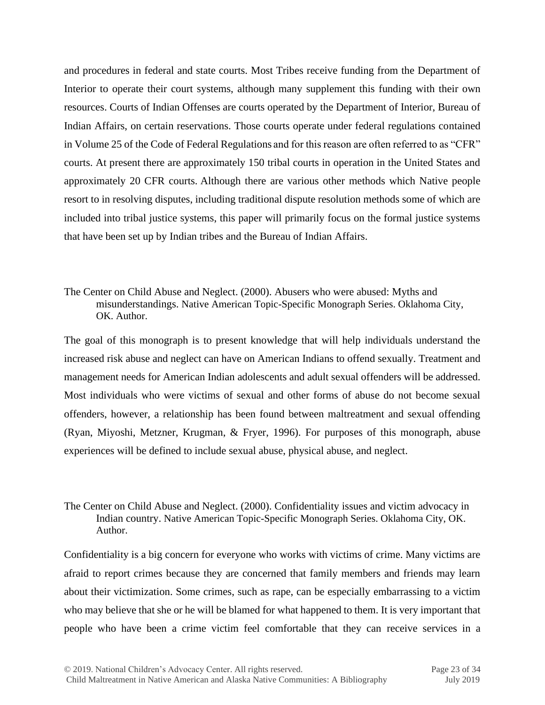and procedures in federal and state courts. Most Tribes receive funding from the Department of Interior to operate their court systems, although many supplement this funding with their own resources. Courts of Indian Offenses are courts operated by the Department of Interior, Bureau of Indian Affairs, on certain reservations. Those courts operate under federal regulations contained in Volume 25 of the Code of Federal Regulations and for this reason are often referred to as "CFR" courts. At present there are approximately 150 tribal courts in operation in the United States and approximately 20 CFR courts. Although there are various other methods which Native people resort to in resolving disputes, including traditional dispute resolution methods some of which are included into tribal justice systems, this paper will primarily focus on the formal justice systems that have been set up by Indian tribes and the Bureau of Indian Affairs.

#### The Center on Child Abuse and Neglect. (2000). Abusers who were abused: Myths and misunderstandings. Native American Topic-Specific Monograph Series. Oklahoma City, OK. Author.

The goal of this monograph is to present knowledge that will help individuals understand the increased risk abuse and neglect can have on American Indians to offend sexually. Treatment and management needs for American Indian adolescents and adult sexual offenders will be addressed. Most individuals who were victims of sexual and other forms of abuse do not become sexual offenders, however, a relationship has been found between maltreatment and sexual offending (Ryan, Miyoshi, Metzner, Krugman, & Fryer, 1996). For purposes of this monograph, abuse experiences will be defined to include sexual abuse, physical abuse, and neglect.

# The Center on Child Abuse and Neglect. (2000). Confidentiality issues and victim advocacy in Indian country. Native American Topic-Specific Monograph Series. Oklahoma City, OK. Author.

Confidentiality is a big concern for everyone who works with victims of crime. Many victims are afraid to report crimes because they are concerned that family members and friends may learn about their victimization. Some crimes, such as rape, can be especially embarrassing to a victim who may believe that she or he will be blamed for what happened to them. It is very important that people who have been a crime victim feel comfortable that they can receive services in a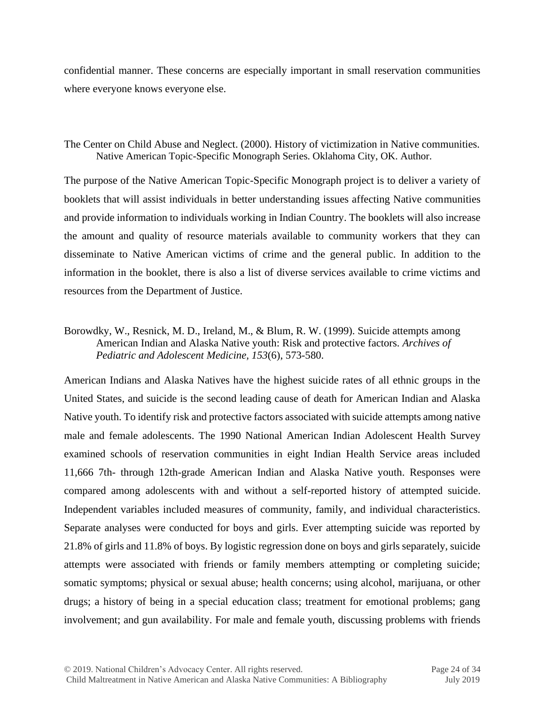confidential manner. These concerns are especially important in small reservation communities where everyone knows everyone else.

# The Center on Child Abuse and Neglect. (2000). History of victimization in Native communities. Native American Topic-Specific Monograph Series. Oklahoma City, OK. Author.

The purpose of the Native American Topic-Specific Monograph project is to deliver a variety of booklets that will assist individuals in better understanding issues affecting Native communities and provide information to individuals working in Indian Country. The booklets will also increase the amount and quality of resource materials available to community workers that they can disseminate to Native American victims of crime and the general public. In addition to the information in the booklet, there is also a list of diverse services available to crime victims and resources from the Department of Justice.

# Borowdky, W., Resnick, M. D., Ireland, M., & Blum, R. W. (1999). Suicide attempts among American Indian and Alaska Native youth: Risk and protective factors. *Archives of Pediatric and Adolescent Medicine, 153*(6), 573-580.

American Indians and Alaska Natives have the highest suicide rates of all ethnic groups in the United States, and suicide is the second leading cause of death for American Indian and Alaska Native youth. To identify risk and protective factors associated with suicide attempts among native male and female adolescents. The 1990 National American Indian Adolescent Health Survey examined schools of reservation communities in eight Indian Health Service areas included 11,666 7th- through 12th-grade American Indian and Alaska Native youth. Responses were compared among adolescents with and without a self-reported history of attempted suicide. Independent variables included measures of community, family, and individual characteristics. Separate analyses were conducted for boys and girls. Ever attempting suicide was reported by 21.8% of girls and 11.8% of boys. By logistic regression done on boys and girls separately, suicide attempts were associated with friends or family members attempting or completing suicide; somatic symptoms; physical or sexual abuse; health concerns; using alcohol, marijuana, or other drugs; a history of being in a special education class; treatment for emotional problems; gang involvement; and gun availability. For male and female youth, discussing problems with friends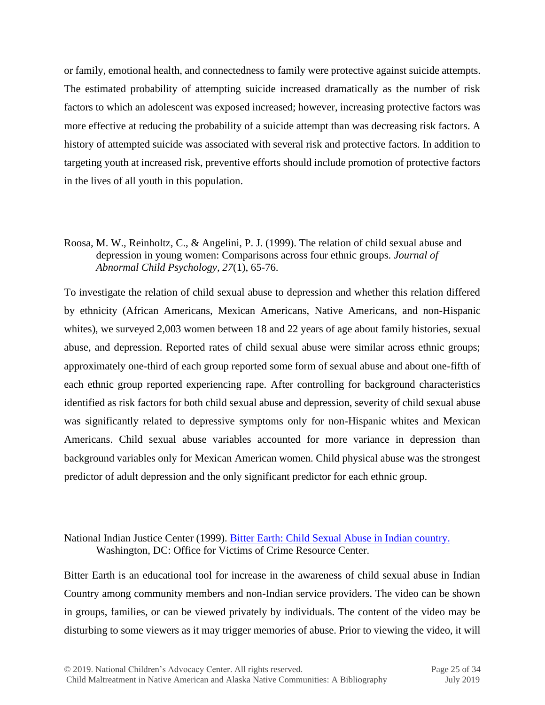or family, emotional health, and connectedness to family were protective against suicide attempts. The estimated probability of attempting suicide increased dramatically as the number of risk factors to which an adolescent was exposed increased; however, increasing protective factors was more effective at reducing the probability of a suicide attempt than was decreasing risk factors. A history of attempted suicide was associated with several risk and protective factors. In addition to targeting youth at increased risk, preventive efforts should include promotion of protective factors in the lives of all youth in this population.

Roosa, M. W., Reinholtz, C., & Angelini, P. J. (1999). The relation of child sexual abuse and depression in young women: Comparisons across four ethnic groups. *Journal of Abnormal Child Psychology, 27*(1), 65-76.

To investigate the relation of child sexual abuse to depression and whether this relation differed by ethnicity (African Americans, Mexican Americans, Native Americans, and non-Hispanic whites), we surveyed 2,003 women between 18 and 22 years of age about family histories, sexual abuse, and depression. Reported rates of child sexual abuse were similar across ethnic groups; approximately one-third of each group reported some form of sexual abuse and about one-fifth of each ethnic group reported experiencing rape. After controlling for background characteristics identified as risk factors for both child sexual abuse and depression, severity of child sexual abuse was significantly related to depressive symptoms only for non-Hispanic whites and Mexican Americans. Child sexual abuse variables accounted for more variance in depression than background variables only for Mexican American women. Child physical abuse was the strongest predictor of adult depression and the only significant predictor for each ethnic group.

# National Indian Justice Center (1999). [Bitter Earth: Child Sexual Abuse in Indian country.](http://one.center-school.org/search-document-detail.php?ID=163) Washington, DC: Office for Victims of Crime Resource Center.

Bitter Earth is an educational tool for increase in the awareness of child sexual abuse in Indian Country among community members and non-Indian service providers. The video can be shown in groups, families, or can be viewed privately by individuals. The content of the video may be disturbing to some viewers as it may trigger memories of abuse. Prior to viewing the video, it will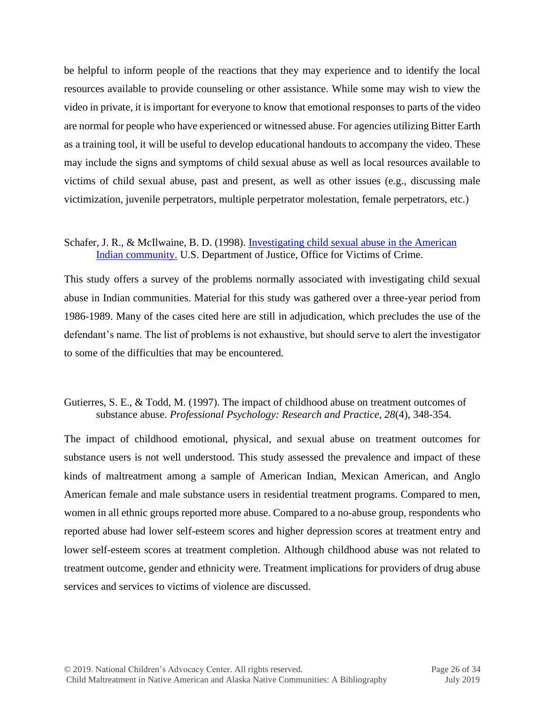be helpful to inform people of the reactions that they may experience and to identify the local resources available to provide counseling or other assistance. While some may wish to view the video in private, it is important for everyone to know that emotional responses to parts of the video are normal for people who have experienced or witnessed abuse. For agencies utilizing Bitter Earth as a training tool, it will be useful to develop educational handouts to accompany the video. These may include the signs and symptoms of child sexual abuse as well as local resources available to victims of child sexual abuse, past and present, as well as other issues (e.g., discussing male victimization, juvenile perpetrators, multiple perpetrator molestation, female perpetrators, etc.)

#### Schafer, J. R., & McIlwaine, B. D. (1998). Investigating child sexual abuse in the American [Indian community.](http://www.icctc.org/CC%20manual/investigating%20csa.pdf) U.S. Department of Justice, Office for Victims of Crime.

This study offers a survey of the problems normally associated with investigating child sexual abuse in Indian communities. Material for this study was gathered over a three-year period from 1986-1989. Many of the cases cited here are still in adjudication, which precludes the use of the defendant's name. The list of problems is not exhaustive, but should serve to alert the investigator to some of the difficulties that may be encountered.

#### Gutierres, S. E., & Todd, M. (1997). The impact of childhood abuse on treatment outcomes of substance abuse. *Professional Psychology: Research and Practice, 28*(4), 348-354.

The impact of childhood emotional, physical, and sexual abuse on treatment outcomes for substance users is not well understood. This study assessed the prevalence and impact of these kinds of maltreatment among a sample of American Indian, Mexican American, and Anglo American female and male substance users in residential treatment programs. Compared to men, women in all ethnic groups reported more abuse. Compared to a no-abuse group, respondents who reported abuse had lower self-esteem scores and higher depression scores at treatment entry and lower self-esteem scores at treatment completion. Although childhood abuse was not related to treatment outcome, gender and ethnicity were. Treatment implications for providers of drug abuse services and services to victims of violence are discussed.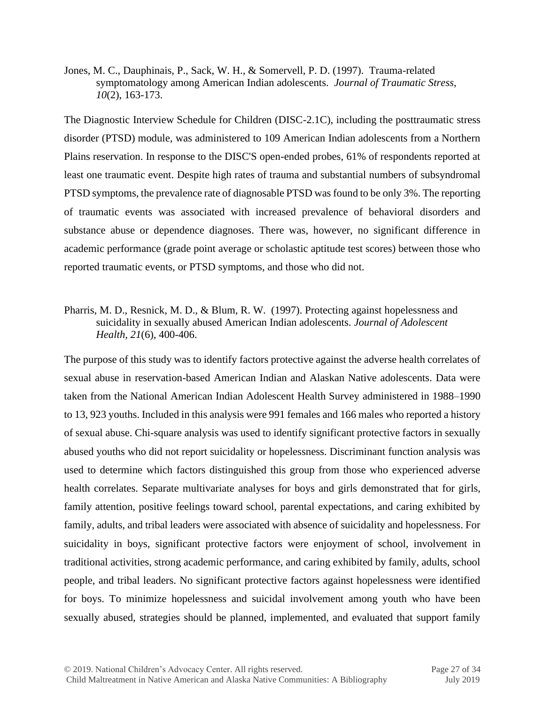Jones, M. C., Dauphinais, P., Sack, W. H., & Somervell, P. D. (1997). Trauma-related symptomatology among American Indian adolescents. *Journal of Traumatic Stress, 10*(2), 163-173.

The Diagnostic Interview Schedule for Children (DISC-2.1C), including the posttraumatic stress disorder (PTSD) module, was administered to 109 American Indian adolescents from a Northern Plains reservation. In response to the DISC'S open-ended probes, 61% of respondents reported at least one traumatic event. Despite high rates of trauma and substantial numbers of subsyndromal PTSD symptoms, the prevalence rate of diagnosable PTSD was found to be only 3%. The reporting of traumatic events was associated with increased prevalence of behavioral disorders and substance abuse or dependence diagnoses. There was, however, no significant difference in academic performance (grade point average or scholastic aptitude test scores) between those who reported traumatic events, or PTSD symptoms, and those who did not.

# Pharris, M. D., Resnick, M. D., & Blum, R. W. (1997). Protecting against hopelessness and suicidality in sexually abused American Indian adolescents. *Journal of Adolescent Health, 21*(6), 400-406.

The purpose of this study was to identify factors protective against the adverse health correlates of sexual abuse in reservation-based American Indian and Alaskan Native adolescents. Data were taken from the National American Indian Adolescent Health Survey administered in 1988–1990 to 13, 923 youths. Included in this analysis were 991 females and 166 males who reported a history of sexual abuse. Chi-square analysis was used to identify significant protective factors in sexually abused youths who did not report suicidality or hopelessness. Discriminant function analysis was used to determine which factors distinguished this group from those who experienced adverse health correlates. Separate multivariate analyses for boys and girls demonstrated that for girls, family attention, positive feelings toward school, parental expectations, and caring exhibited by family, adults, and tribal leaders were associated with absence of suicidality and hopelessness. For suicidality in boys, significant protective factors were enjoyment of school, involvement in traditional activities, strong academic performance, and caring exhibited by family, adults, school people, and tribal leaders. No significant protective factors against hopelessness were identified for boys. To minimize hopelessness and suicidal involvement among youth who have been sexually abused, strategies should be planned, implemented, and evaluated that support family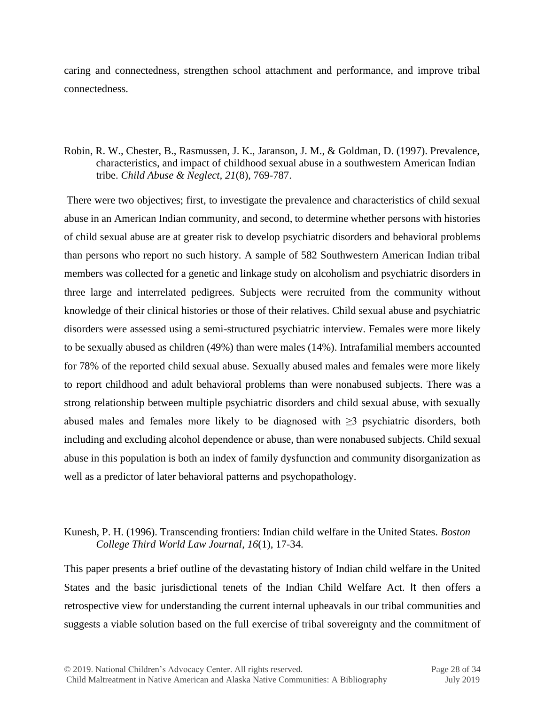caring and connectedness, strengthen school attachment and performance, and improve tribal connectedness.

Robin, R. W., Chester, B., Rasmussen, J. K., Jaranson, J. M., & Goldman, D. (1997). Prevalence, characteristics, and impact of childhood sexual abuse in a southwestern American Indian tribe. *Child Abuse & Neglect, 21*(8), 769-787.

There were two objectives; first, to investigate the prevalence and characteristics of child sexual abuse in an American Indian community, and second, to determine whether persons with histories of child sexual abuse are at greater risk to develop psychiatric disorders and behavioral problems than persons who report no such history. A sample of 582 Southwestern American Indian tribal members was collected for a genetic and linkage study on alcoholism and psychiatric disorders in three large and interrelated pedigrees. Subjects were recruited from the community without knowledge of their clinical histories or those of their relatives. Child sexual abuse and psychiatric disorders were assessed using a semi-structured psychiatric interview. Females were more likely to be sexually abused as children (49%) than were males (14%). Intrafamilial members accounted for 78% of the reported child sexual abuse. Sexually abused males and females were more likely to report childhood and adult behavioral problems than were nonabused subjects. There was a strong relationship between multiple psychiatric disorders and child sexual abuse, with sexually abused males and females more likely to be diagnosed with  $\geq$ 3 psychiatric disorders, both including and excluding alcohol dependence or abuse, than were nonabused subjects. Child sexual abuse in this population is both an index of family dysfunction and community disorganization as well as a predictor of later behavioral patterns and psychopathology.

# Kunesh, P. H. (1996). Transcending frontiers: Indian child welfare in the United States. *Boston College Third World Law Journal*, *16*(1), 17-34.

This paper presents a brief outline of the devastating history of Indian child welfare in the United States and the basic jurisdictional tenets of the Indian Child Welfare Act. It then offers a retrospective view for understanding the current internal upheavals in our tribal communities and suggests a viable solution based on the full exercise of tribal sovereignty and the commitment of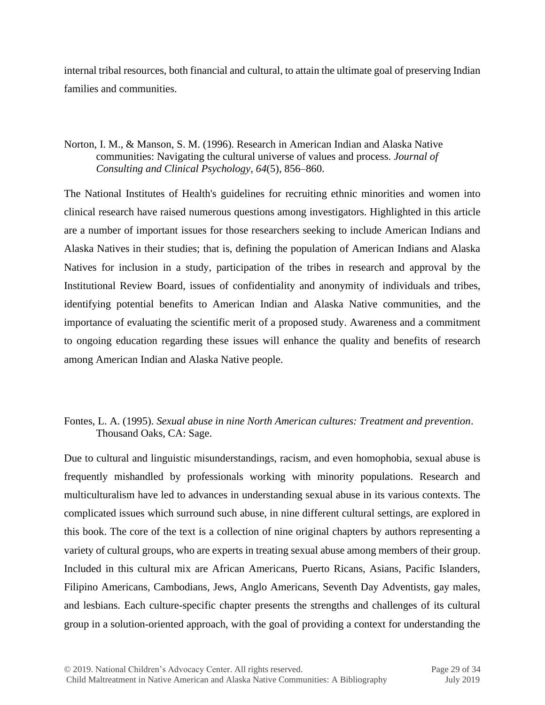internal tribal resources, both financial and cultural, to attain the ultimate goal of preserving Indian families and communities.

#### Norton, I. M., & Manson, S. M. (1996). Research in American Indian and Alaska Native communities: Navigating the cultural universe of values and process. *Journal of Consulting and Clinical Psychology*, *64*(5), 856–860.

The National Institutes of Health's guidelines for recruiting ethnic minorities and women into clinical research have raised numerous questions among investigators. Highlighted in this article are a number of important issues for those researchers seeking to include American Indians and Alaska Natives in their studies; that is, defining the population of American Indians and Alaska Natives for inclusion in a study, participation of the tribes in research and approval by the Institutional Review Board, issues of confidentiality and anonymity of individuals and tribes, identifying potential benefits to American Indian and Alaska Native communities, and the importance of evaluating the scientific merit of a proposed study. Awareness and a commitment to ongoing education regarding these issues will enhance the quality and benefits of research among American Indian and Alaska Native people.

# Fontes, L. A. (1995). *Sexual abuse in nine North American cultures: Treatment and prevention*. Thousand Oaks, CA: Sage.

Due to cultural and linguistic misunderstandings, racism, and even homophobia, sexual abuse is frequently mishandled by professionals working with minority populations. Research and multiculturalism have led to advances in understanding sexual abuse in its various contexts. The complicated issues which surround such abuse, in nine different cultural settings, are explored in this book. The core of the text is a collection of nine original chapters by authors representing a variety of cultural groups, who are experts in treating sexual abuse among members of their group. Included in this cultural mix are African Americans, Puerto Ricans, Asians, Pacific Islanders, Filipino Americans, Cambodians, Jews, Anglo Americans, Seventh Day Adventists, gay males, and lesbians. Each culture-specific chapter presents the strengths and challenges of its cultural group in a solution-oriented approach, with the goal of providing a context for understanding the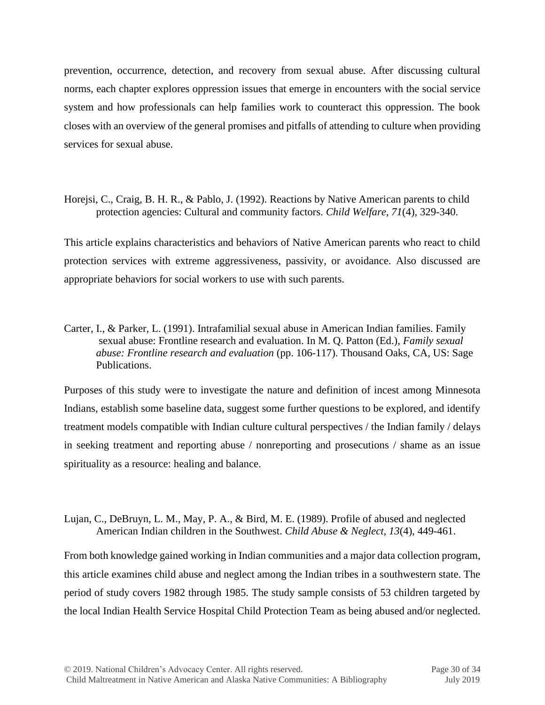prevention, occurrence, detection, and recovery from sexual abuse. After discussing cultural norms, each chapter explores oppression issues that emerge in encounters with the social service system and how professionals can help families work to counteract this oppression. The book closes with an overview of the general promises and pitfalls of attending to culture when providing services for sexual abuse.

Horejsi, C., Craig, B. H. R., & Pablo, J. (1992). Reactions by Native American parents to child protection agencies: Cultural and community factors. *Child Welfare, 71*(4), 329-340.

This article explains characteristics and behaviors of Native American parents who react to child protection services with extreme aggressiveness, passivity, or avoidance. Also discussed are appropriate behaviors for social workers to use with such parents.

Carter, I., & Parker, L. (1991). Intrafamilial sexual abuse in American Indian families. Family sexual abuse: Frontline research and evaluation. In M. Q. Patton (Ed.), *Family sexual abuse: Frontline research and evaluation* (pp. 106-117). Thousand Oaks, CA, US: Sage Publications.

Purposes of this study were to investigate the nature and definition of incest among Minnesota Indians, establish some baseline data, suggest some further questions to be explored, and identify treatment models compatible with Indian culture cultural perspectives / the Indian family / delays in seeking treatment and reporting abuse / nonreporting and prosecutions / shame as an issue spirituality as a resource: healing and balance.

# Lujan, C., DeBruyn, L. M., May, P. A., & Bird, M. E. (1989). Profile of abused and neglected American Indian children in the Southwest. *Child Abuse & Neglect, 13*(4), 449-461.

From both knowledge gained working in Indian communities and a major data collection program, this article examines child abuse and neglect among the Indian tribes in a southwestern state. The period of study covers 1982 through 1985. The study sample consists of 53 children targeted by the local Indian Health Service Hospital Child Protection Team as being abused and/or neglected.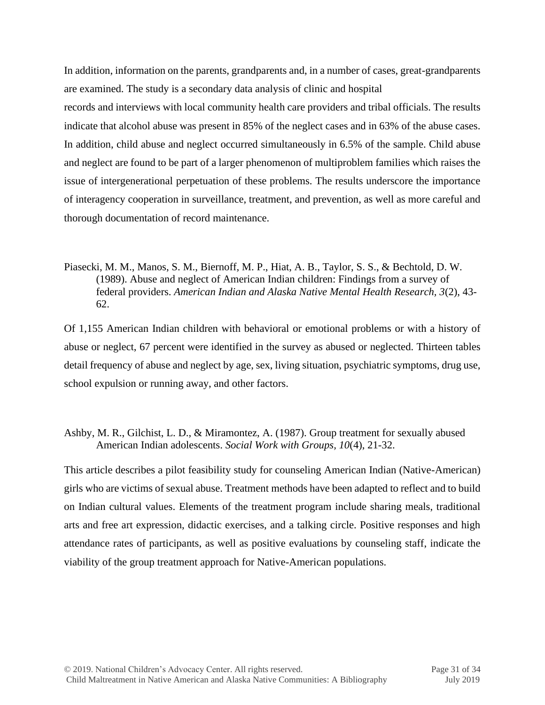In addition, information on the parents, grandparents and, in a number of cases, great-grandparents are examined. The study is a secondary data analysis of clinic and hospital

records and interviews with local community health care providers and tribal officials. The results indicate that alcohol abuse was present in 85% of the neglect cases and in 63% of the abuse cases. In addition, child abuse and neglect occurred simultaneously in 6.5% of the sample. Child abuse and neglect are found to be part of a larger phenomenon of multiproblem families which raises the issue of intergenerational perpetuation of these problems. The results underscore the importance of interagency cooperation in surveillance, treatment, and prevention, as well as more careful and thorough documentation of record maintenance.

# Piasecki, M. M., Manos, S. M., Biernoff, M. P., Hiat, A. B., Taylor, S. S., & Bechtold, D. W. (1989). Abuse and neglect of American Indian children: Findings from a survey of federal providers. *American Indian and Alaska Native Mental Health Research, 3*(2), 43- 62.

Of 1,155 American Indian children with behavioral or emotional problems or with a history of abuse or neglect, 67 percent were identified in the survey as abused or neglected. Thirteen tables detail frequency of abuse and neglect by age, sex, living situation, psychiatric symptoms, drug use, school expulsion or running away, and other factors.

# Ashby, M. R., Gilchist, L. D., & Miramontez, A. (1987). Group treatment for sexually abused American Indian adolescents. *Social Work with Groups, 10*(4), 21-32.

This article describes a pilot feasibility study for counseling American Indian (Native-American) girls who are victims of sexual abuse. Treatment methods have been adapted to reflect and to build on Indian cultural values. Elements of the treatment program include sharing meals, traditional arts and free art expression, didactic exercises, and a talking circle. Positive responses and high attendance rates of participants, as well as positive evaluations by counseling staff, indicate the viability of the group treatment approach for Native-American populations.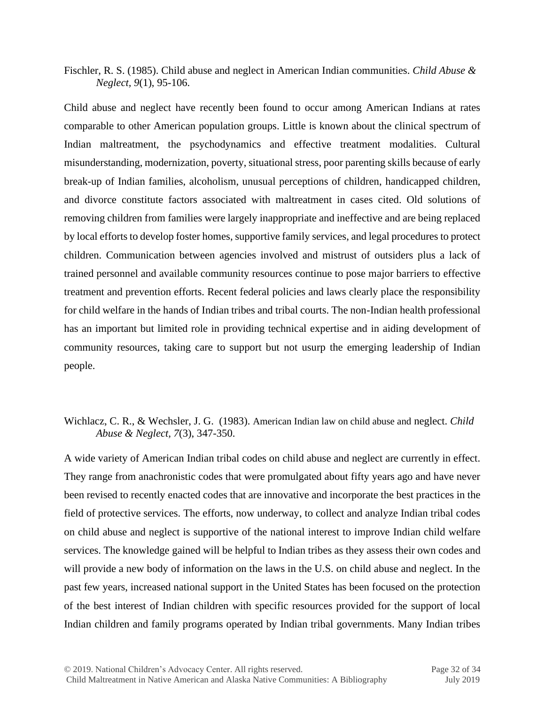Fischler, R. S. (1985). Child abuse and neglect in American Indian communities. *Child Abuse & Neglect, 9*(1), 95-106.

Child abuse and neglect have recently been found to occur among American Indians at rates comparable to other American population groups. Little is known about the clinical spectrum of Indian maltreatment, the psychodynamics and effective treatment modalities. Cultural misunderstanding, modernization, poverty, situational stress, poor parenting skills because of early break-up of Indian families, alcoholism, unusual perceptions of children, handicapped children, and divorce constitute factors associated with maltreatment in cases cited. Old solutions of removing children from families were largely inappropriate and ineffective and are being replaced by local efforts to develop foster homes, supportive family services, and legal procedures to protect children. Communication between agencies involved and mistrust of outsiders plus a lack of trained personnel and available community resources continue to pose major barriers to effective treatment and prevention efforts. Recent federal policies and laws clearly place the responsibility for child welfare in the hands of Indian tribes and tribal courts. The non-Indian health professional has an important but limited role in providing technical expertise and in aiding development of community resources, taking care to support but not usurp the emerging leadership of Indian people.

# Wichlacz, C. R., & Wechsler, J. G. (1983). American Indian law on child abuse and neglect. *Child Abuse & Neglect, 7*(3), 347-350.

A wide variety of American Indian tribal codes on child abuse and neglect are currently in effect. They range from anachronistic codes that were promulgated about fifty years ago and have never been revised to recently enacted codes that are innovative and incorporate the best practices in the field of protective services. The efforts, now underway, to collect and analyze Indian tribal codes on child abuse and neglect is supportive of the national interest to improve Indian child welfare services. The knowledge gained will be helpful to Indian tribes as they assess their own codes and will provide a new body of information on the laws in the U.S. on child abuse and neglect. In the past few years, increased national support in the United States has been focused on the protection of the best interest of Indian children with specific resources provided for the support of local Indian children and family programs operated by Indian tribal governments. Many Indian tribes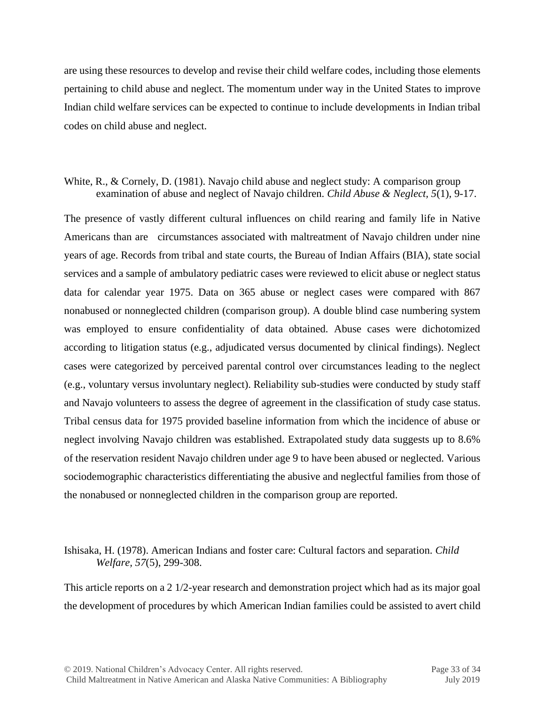are using these resources to develop and revise their child welfare codes, including those elements pertaining to child abuse and neglect. The momentum under way in the United States to improve Indian child welfare services can be expected to continue to include developments in Indian tribal codes on child abuse and neglect.

#### White, R., & Cornely, D. (1981). Navajo child abuse and neglect study: A comparison group examination of abuse and neglect of Navajo children. *Child Abuse & Neglect, 5*(1), 9-17.

The presence of vastly different cultural influences on child rearing and family life in Native Americans than are circumstances associated with maltreatment of Navajo children under nine years of age. Records from tribal and state courts, the Bureau of Indian Affairs (BIA), state social services and a sample of ambulatory pediatric cases were reviewed to elicit abuse or neglect status data for calendar year 1975. Data on 365 abuse or neglect cases were compared with 867 nonabused or nonneglected children (comparison group). A double blind case numbering system was employed to ensure confidentiality of data obtained. Abuse cases were dichotomized according to litigation status (e.g., adjudicated versus documented by clinical findings). Neglect cases were categorized by perceived parental control over circumstances leading to the neglect (e.g., voluntary versus involuntary neglect). Reliability sub-studies were conducted by study staff and Navajo volunteers to assess the degree of agreement in the classification of study case status. Tribal census data for 1975 provided baseline information from which the incidence of abuse or neglect involving Navajo children was established. Extrapolated study data suggests up to 8.6% of the reservation resident Navajo children under age 9 to have been abused or neglected. Various sociodemographic characteristics differentiating the abusive and neglectful families from those of the nonabused or nonneglected children in the comparison group are reported.

Ishisaka, H. (1978). American Indians and foster care: Cultural factors and separation. *Child Welfare, 57*(5), 299-308.

This article reports on a 2 1/2-year research and demonstration project which had as its major goal the development of procedures by which American Indian families could be assisted to avert child